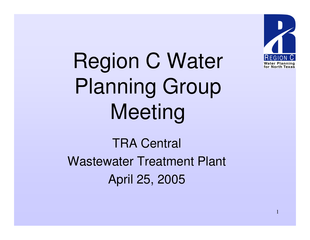

Region C Water Planning Group Meeting

TRA Central Wastewater Treatment Plant April 25, 2005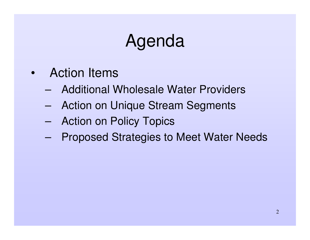# Agenda

- • Action Items
	- Additional Wholesale Water Providers
	- –Action on Unique Stream Segments
	- –Action on Policy Topics
	- –Proposed Strategies to Meet Water Needs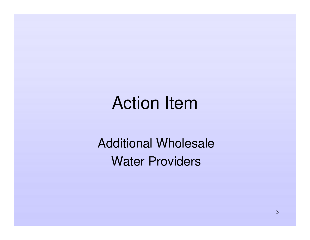Additional Wholesale Water Providers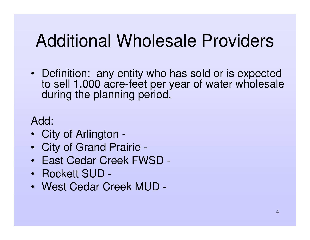# Additional Wholesale Providers

• Definition: any entity who has sold or is expected to sell 1,000 acre-feet per year of water wholesale during the planning period.

Add:

- City of Arlington -
- City of Grand Prairie -
- East Cedar Creek FWSD -
- Rockett SUD -
- West Cedar Creek MUD -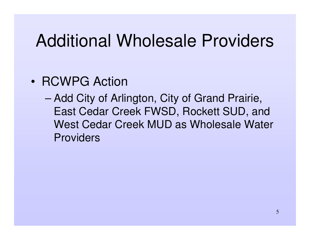## Additional Wholesale Providers

#### • RCWPG Action

– Add City of Arlington, City of Grand Prairie, East Cedar Creek FWSD, Rockett SUD, and West Cedar Creek MUD as Wholesale Water Providers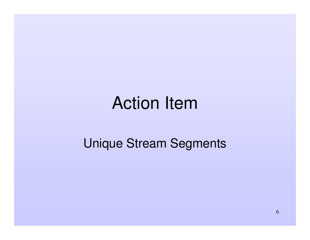#### Unique Stream Segments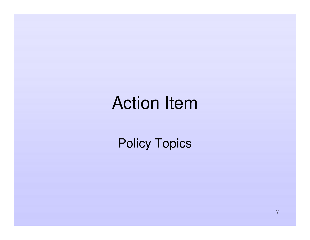Policy Topics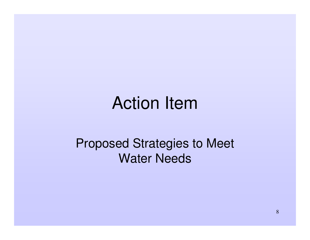Proposed Strategies to Meet Water Needs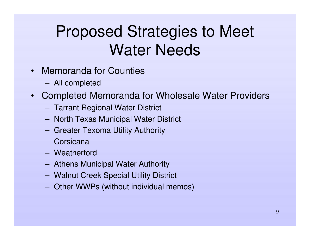### Proposed Strategies to Meet Water Needs

- • Memoranda for Counties
	- –All completed
- $\bullet$  Completed Memoranda for Wholesale Water Providers
	- –Tarrant Regional Water District
	- **Hart Committee** — North Texas Municipal Water District
	- **Harry Committee** Greater Texoma Utility Authority
	- Corsicana
	- Weatherford
	- and the contract of the contract of Athens Municipal Water Authority
	- –Walnut Creek Special Utility District
	- –Other WWPs (without individual memos)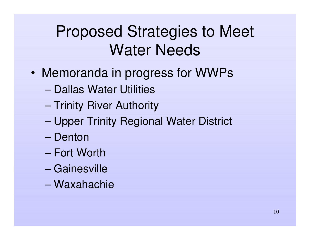#### Proposed Strategies to Meet Water Needs

- • Memoranda in progress for WWPs
	- Dallas Water Utilities
	- –– Trinity River Authority
	- –Upper Trinity Regional Water District
	- Denton
	- Fort Worth
	- Gainesville
	- Waxahachie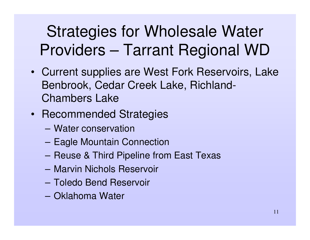## Strategies for Wholesale Water Providers – Tarrant Regional WD

- Current supplies are West Fork Reservoirs, Lake Benbrook, Cedar Creek Lake, Richland-Chambers Lake
- Recommended Strategies
	- Water conservation
	- **Harry Committee** Eagle Mountain Connection
	- Reuse & Third Pipeline from East Texas
	- Marvin Nichols Reservoir
	- Toledo Bend Reservoir
	- Oklahoma Water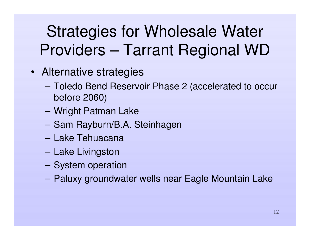## Strategies for Wholesale Water Providers – Tarrant Regional WD

- Alternative strategies
	- **Harry Committee**  Toledo Bend Reservoir Phase 2 (accelerated to occur before 2060)
	- **Hart Committee Committee** Wright Patman Lake
	- Sam Rayburn/B.A. Steinhagen
	- Lake Tehuacana
	- **Hart Committee** – Lake Livingston
	- **However, Marketing Committee** – System operation
	- **Harry Committee** Paluxy groundwater wells near Eagle Mountain Lake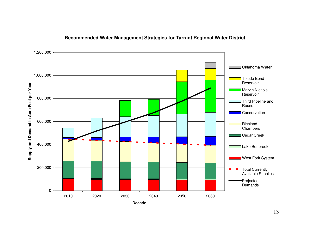

#### **Recommended Water Management Strategies for Tarrant Regional Water District**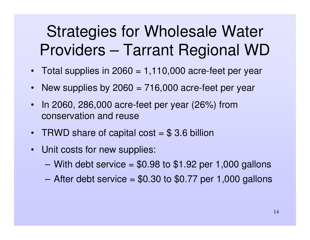#### Strategies for Wholesale Water Providers – Tarrant Regional WD

- Total supplies in 2060 <sup>=</sup> 1,110,000 acre-feet per year
- $\bullet$ • New supplies by 2060 = 716,000 acre-feet per year
- $\bullet$ • In 2060, 286,000 acre-feet per year (26%) from conservation and reuse
- TRWD share of capital cost = \$3.6 billion
- Unit costs for new supplies:
	- $-$  With debt service = \$0.98 to \$1.92 per 1,000 gallons
	- After debt service <sup>=</sup> \$0.30 to \$0.77 per 1,000 gallons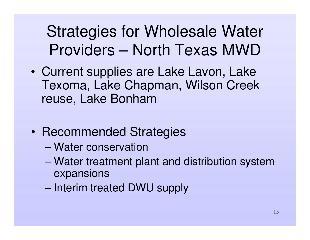- • Current supplies are Lake Lavon, Lake Texoma, Lake Chapman, Wilson Creek reuse, Lake Bonham
- •• Recommended Strategies
	- Water conservation
	- – Water treatment plant and distribution system expansions
	- Interim treated DWU supply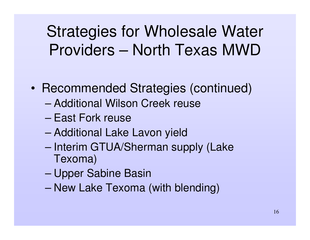- •• Recommended Strategies (continued)
	- Additional Wilson Creek reuse
	- East Fork reuse
	- –Additional Lake Lavon yield
	- Interim GTUA/Sherman supply (Lake Texoma)
	- –Upper Sabine Basin
	- New Lake Texoma (with blending)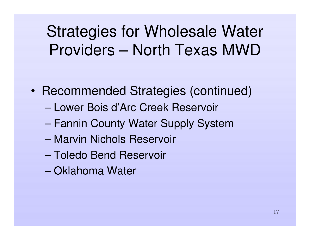- •• Recommended Strategies (continued)
	- Lower Bois d'Arc Creek Reservoir
	- –Fannin County Water Supply System
	- Marvin Nichols Reservoir
	- Toledo Bend Reservoir
	- Oklahoma Water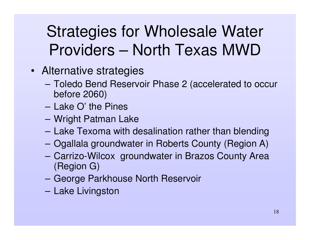- Alternative strategies
	- **Hart Committee Committee**  Toledo Bend Reservoir Phase 2 (accelerated to occur before 2060)
	- Lake O' the Pines
	- **Hart Committee Committee** Wright Patman Lake
	- **However, Marketing Committee** – Lake Texoma with desalination rather than blending
	- –Ogallala groundwater in Roberts County (Region A)
	- – Carrizo-Wilcox groundwater in Brazos County Area (Region G)
	- **However, Marketing Committee** George Parkhouse North Reservoir
	- **Harry Committee** – Lake Livingston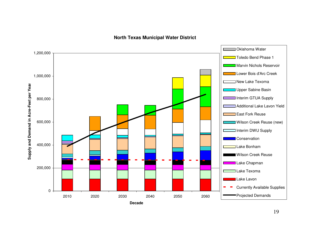**N orth T e x a s M u nicip al W ater District**

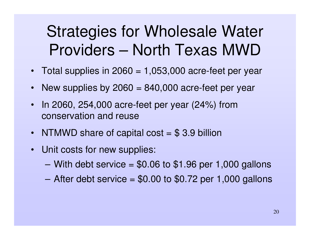- Total supplies in 2060 <sup>=</sup> 1,053,000 acre-feet per year
- New supplies by 2060 <sup>=</sup> 840,000 acre-feet per year
- $\bullet$ • In 2060, 254,000 acre-feet per year (24%) from conservation and reuse
- NTMWD share of capital cost = \$3.9 billion
- Unit costs for new supplies:
	- $-$  With debt service = \$0.06 to \$1.96 per 1,000 gallons
	- After debt service <sup>=</sup> \$0.00 to \$0.72 per 1,000 gallons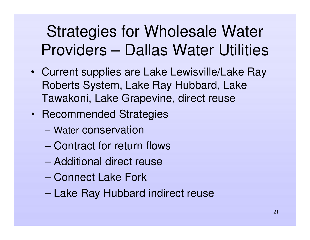- Current supplies are Lake Lewisville/Lake Ray Roberts System, Lake Ray Hubbard, Lake Tawakoni, Lake Grapevine, direct reuse
- Recommended Strategies
	- Water conservation
	- Contract for return flows
	- Additional direct reuse
	- Connect Lake Fork
	- –Lake Ray Hubbard indirect reuse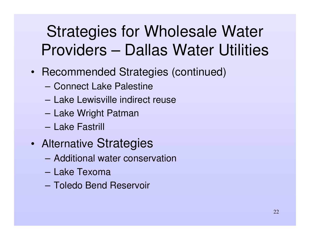- Recommended Strategies (continued)
	- Connect Lake Palestine
	- Lake Lewisville indirect reuse
	- **Harry Committee** – Lake Wright Patman
	- Lake Fastrill
- • Alternative Strategies
	- Additional water conservation
	- Lake Texoma
	- Toledo Bend Reservoir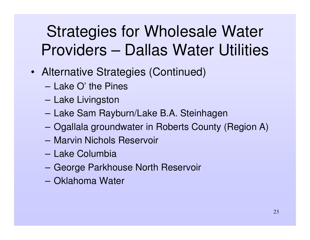- Alternative Strategies (Continued)
	- Lake O' the Pines
	- **Harry Committee** – Lake Livingston
	- Lake Sam Rayburn/Lake B.A. Steinhagen
	- **Hart Committee** Ogallala groundwater in Roberts County (Region A)
	- Marvin Nichols Reservoir
	- Lake Columbia
	- **Harry Committee** George Parkhouse North Reservoir
	- Oklahoma Water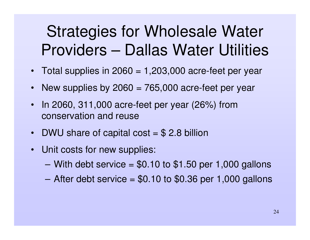- Total supplies in 2060 <sup>=</sup> 1,203,000 acre-feet per year
- New supplies by 2060 <sup>=</sup> 765,000 acre-feet per year
- $\bullet$ • In 2060, 311,000 acre-feet per year (26%) from conservation and reuse
- DWU share of capital cost = \$ 2.8 billion
- Unit costs for new supplies:
	- $-$  With debt service = \$0.10 to \$1.50 per 1,000 gallons
	- After debt service <sup>=</sup> \$0.10 to \$0.36 per 1,000 gallons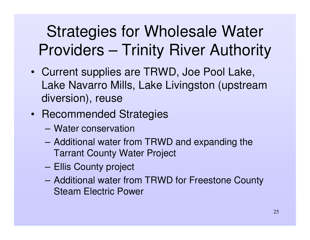## Strategies for Wholesale Water Providers – Trinity River Authority

- Current supplies are TRWD, Joe Pool Lake, Lake Navarro Mills, Lake Livingston (upstream diversion), reuse
- Recommended Strategies
	- Water conservation
	- Additional water from TRWD and expanding the Tarrant County Water Project
	- **However, Marketing Committee** Ellis County project
	- Additional water from TRWD for Freestone County Steam Electric Power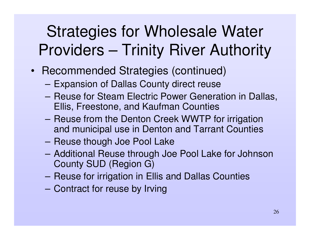### Strategies for Wholesale Water Providers – Trinity River Authority

- Recommended Strategies (continued)
	- **Hart Committee Committee** Expansion of Dallas County direct reuse
	- Reuse for Steam Electric Power Generation in Dallas, Ellis, Freestone, and Kaufman Counties
	- Reuse from the Denton Creek WWTP for irrigation and municipal use in Denton and Tarrant Counties
	- **However, Marketing Committee** – Reuse though Joe Pool Lake
	- **Harry Committee**  Additional Reuse through Joe Pool Lake for Johnson County SUD (Region G)
	- –– Reuse for irrigation in Ellis and Dallas Counties
	- **However, Marketing Committee** - Contract for reuse by Irving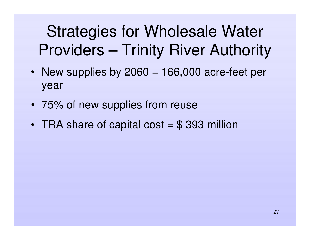Strategies for Wholesale Water Providers – Trinity River Authority

- New supplies by 2060 = 166,000 acre-feet per year
- 75% of new supplies from reuse
- TRA share of capital cost = \$ 393 million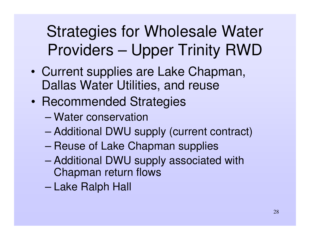- • Current supplies are Lake Chapman, Dallas Water Utilities, and reuse
- $\bullet$ • Recommended Strategies
	- Water conservation
	- Additional DWU supply (current contract)
	- –– Reuse of Lake Chapman supplies
	- Additional DWU supply associated with Chapman return flows
	- –Lake Ralph Hall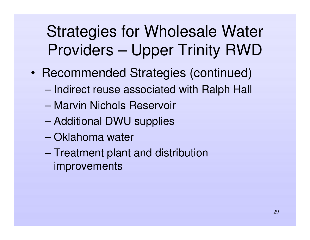- •• Recommended Strategies (continued)
	- –– Indirect reuse associated with Ralph Hall
	- Marvin Nichols Reservoir
	- Additional DWU supplies
	- Oklahoma water
	- –– Treatment plant and distribution improvements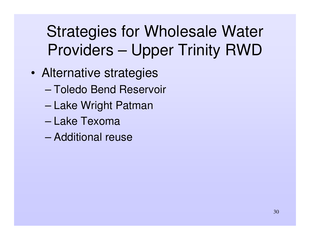- • Alternative strategies
	- Toledo Bend Reservoir
	- –– Lake Wright Patman
	- Lake Texoma
	- Additional reuse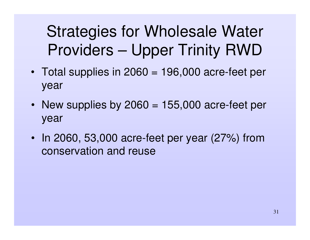- Total supplies in 2060 <sup>=</sup> 196,000 acre-feet per year
- New supplies by 2060 = 155,000 acre-feet per year
- In 2060, 53,000 acre-feet per year (27%) from conservation and reuse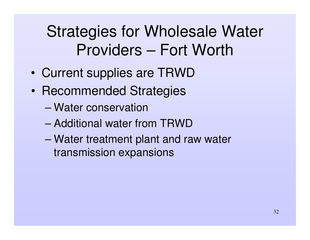## Strategies for Wholesale Water Providers – Fort Worth

- •Current supplies are TRWD
- •• Recommended Strategies
	- Water conservation
	- Additional water from TRWD
	- – Water treatment plant and raw water transmission expansions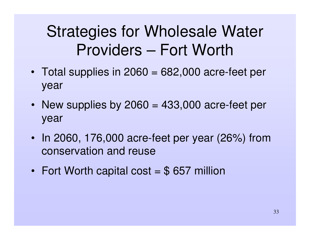#### Strategies for Wholesale Water Providers – Fort Worth

- Total supplies in 2060 <sup>=</sup> 682,000 acre-feet per year
- New supplies by 2060 <sup>=</sup> 433,000 acre-feet per year
- In 2060, 176,000 acre-feet per year (26%) from conservation and reuse
- •• Fort Worth capital cost = \$ 657 million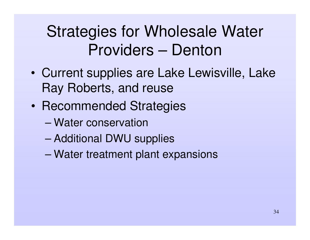#### Strategies for Wholesale Water Providers – Denton

- • Current supplies are Lake Lewisville, Lake Ray Roberts, and reuse
- $\bullet$ • Recommended Strategies
	- Water conservation
	- Additional DWU supplies
	- –Water treatment plant expansions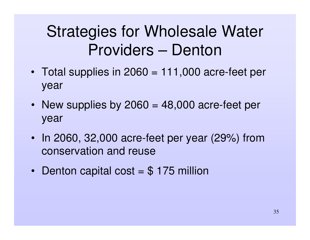#### Strategies for Wholesale Water Providers – Denton

- Total supplies in 2060 <sup>=</sup> 111,000 acre-feet per year
- New supplies by 2060 <sup>=</sup> 48,000 acre-feet per year
- In 2060, 32,000 acre-feet per year (29%) from conservation and reuse
- •• Denton capital cost = \$ 175 million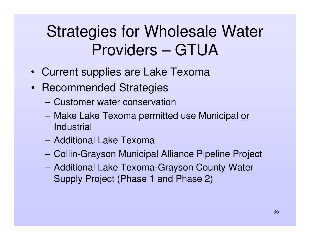#### Strategies for Wholesale Water Providers – GTUA

- $\bullet$ Current supplies are Lake Texoma
- Recommended Strategies
	- Customer water conservation
	- **Hart Committee Committee** – Make Lake Texoma permitted use Municipal <u>or</u> **Industrial**
	- Additional Lake Texoma
	- –Collin-Grayson Municipal Alliance Pipeline Project
	- – Additional Lake Texoma-Grayson County Water Supply Project (Phase 1 and Phase 2)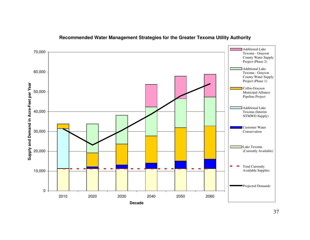

#### **Recommended Water Management Strategies for the Greater Texoma Utility Authority**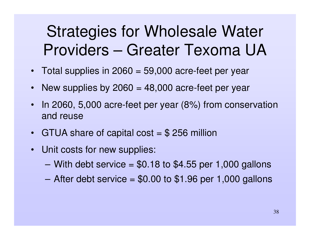#### Strategies for Wholesale Water Providers – Greater Texoma UA

- Total supplies in 2060 <sup>=</sup> 59,000 acre-feet per year
- New supplies by 2060 = 48,000 acre-feet per year
- $\bullet$ • In 2060, 5,000 acre-feet per year (8%) from conservation and reuse
- GTUA share of capital cost = \$ 256 million
- Unit costs for new supplies:
	- $-$  With debt service =  $$0.18$  to  $$4.55$  per 1,000 gallons
	- After debt service <sup>=</sup> \$0.00 to \$1.96 per 1,000 gallons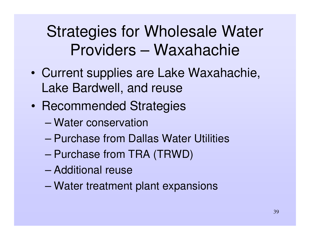#### Strategies for Wholesale Water Providers – Waxahachie

- • Current supplies are Lake Waxahachie, Lake Bardwell, and reuse
- $\bullet$ • Recommended Strategies
	- Water conservation
	- Purchase from Dallas Water Utilities
	- Purchase from TRA (TRWD)
	- Additional reuse
	- –Water treatment plant expansions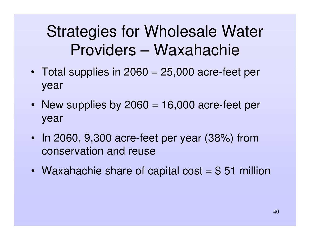### Strategies for Wholesale Water Providers – Waxahachie

- Total supplies in 2060 <sup>=</sup> 25,000 acre-feet per year
- New supplies by 2060 <sup>=</sup> 16,000 acre-feet per year
- In 2060, 9,300 acre-feet per year (38%) from conservation and reuse
- •Waxahachie share of capital cost <sup>=</sup> \$ 51 million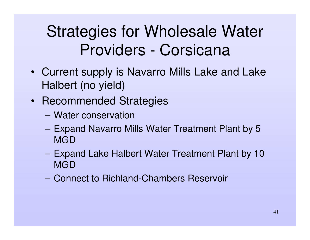### Strategies for Wholesale Water Providers - Corsicana

- Current supply is Navarro Mills Lake and Lake Halbert (no yield)
- Recommended Strategies
	- Water conservation
	- – Expand Navarro Mills Water Treatment Plant by 5 MGD
	- **Hart Committee**  Expand Lake Halbert Water Treatment Plant by 10 MGD
	- Connect to Richland-Chambers Reservoir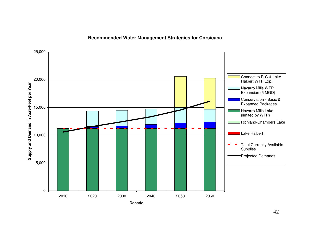#### **Recommended Water Management Strategies for Corsicana**

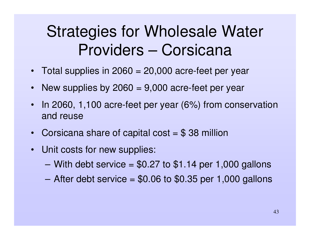#### Strategies for Wholesale Water Providers – Corsicana

- Total supplies in 2060 <sup>=</sup> 20,000 acre-feet per year
- New supplies by 2060 = 9,000 acre-feet per year
- $\bullet$ • In 2060, 1,100 acre-feet per year (6%) from conservation and reuse
- Corsicana share of capital cost = \$38 million
- Unit costs for new supplies:
	- $-$  With debt service = \$0.27 to \$1.14 per 1,000 gallons
	- After debt service <sup>=</sup> \$0.06 to \$0.35 per 1,000 gallons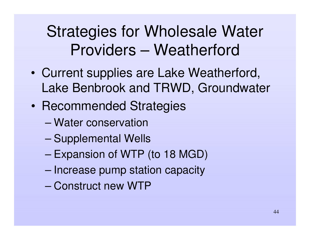- • Current supplies are Lake Weatherford, Lake Benbrook and TRWD, Groundwater
- $\bullet$ • Recommended Strategies
	- Water conservation
	- –– Supplemental Wells
	- –– Expansion of WTP (to 18 MGD)
	- –– Increase pump station capacity
	- Construct new WTP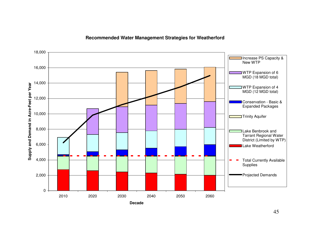#### **Recommended Water Management Strategies for Weatherford**

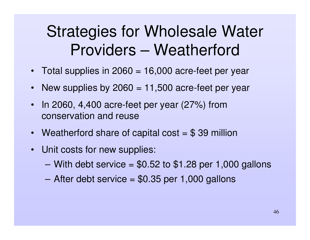- Total supplies in 2060 <sup>=</sup> 16,000 acre-feet per year
- New supplies by 2060 = 11,500 acre-feet per year
- $\bullet$  $\cdot$  In 2060, 4,400 acre-feet per year (27%) from conservation and reuse
- Weatherford share of capital cost = \$39 million
- Unit costs for new supplies:
	- $-$  With debt service = \$0.52 to \$1.28 per 1,000 gallons
	- After debt service <sup>=</sup> \$0.35 per 1,000 gallons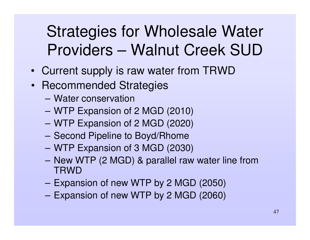### Strategies for Wholesale Water Providers – Walnut Creek SUD

- Current supply is raw water from TRWD
- Recommended Strategies
	- Water conservation
	- WTP Expansion of 2 MGD (2010)
	- WTP Expansion of 2 MGD (2020)
	- –- Second Pipeline to Boyd/Rhome
	- WTP Expansion of 3 MGD (2030)
	- New WTP (2 MGD) & parallel raw water line from **TRWD**
	- –Expansion of new WTP by 2 MGD (2050)
	- **However, Marketing Committee** Expansion of new WTP by 2 MGD (2060)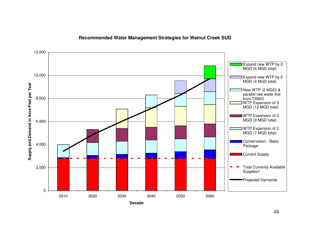

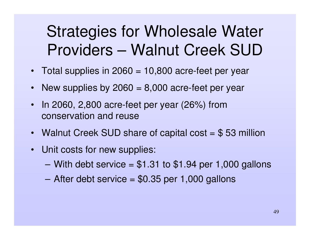#### Strategies for Wholesale Water Providers – Walnut Creek SUD

- Total supplies in 2060 <sup>=</sup> 10,800 acre-feet per year
- New supplies by 2060 <sup>=</sup> 8,000 acre-feet per year
- $\bullet$ • In 2060, 2,800 acre-feet per year (26%) from conservation and reuse
- Walnut Creek SUD share of capital cost = \$53 million
- Unit costs for new supplies:
	- $-$  With debt service = \$1.31 to \$1.94 per 1,000 gallons
	- After debt service <sup>=</sup> \$0.35 per 1,000 gallons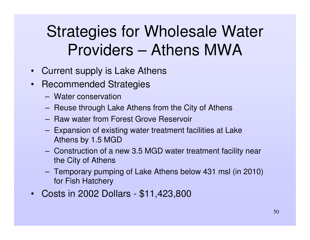- $\bullet$ Current supply is Lake Athens
- $\bullet$ • Recommended Strategies
	- Water conservation
	- – $-$  Reuse through Lake Athens from the City of Athens
	- Raw water from Forest Grove Reservoir
	- **Harry Committee**  Expansion of existing water treatment facilities at Lake Athens by 1.5 MGD
	- Construction of a new 3.5 MGD water treatment facility near the City of Athens
	- **Hart Committee**  Temporary pumping of Lake Athens below 431 msl (in 2010) for Fish Hatchery
- $\bullet$ Costs in 2002 Dollars - \$11,423,800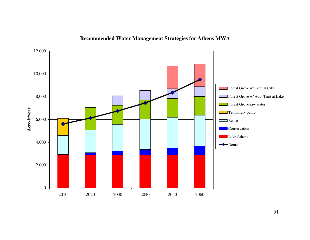

#### **Recommended Water Management Strategies for Athens MWA**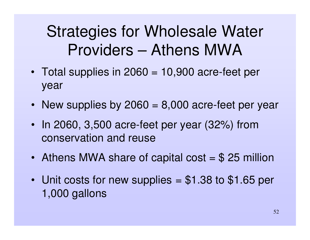- Total supplies in 2060 <sup>=</sup> 10,900 acre-feet per year
- New supplies by 2060 = 8,000 acre-feet per year
- In 2060, 3,500 acre-feet per year (32%) from conservation and reuse
- Athens MWA share of capital cost = \$ 25 million
- Unit costs for new supplies <sup>=</sup> \$1.38 to \$1.65 per 1,000 gallons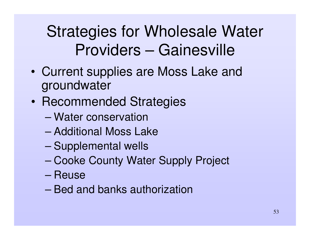### Strategies for Wholesale Water Providers – Gainesville

- • Current supplies are Moss Lake and groundwater
- $\bullet$ • Recommended Strategies
	- Water conservation
	- Additional Moss Lake
	- –– Supplemental wells
	- –Cooke County Water Supply Project
	- Reuse
	- Bed and banks authorization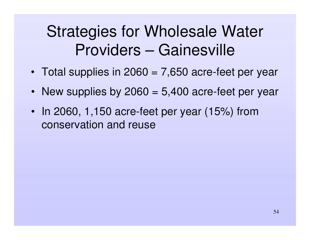#### Strategies for Wholesale Water Providers – Gainesville

- Total supplies in 2060 <sup>=</sup> 7,650 acre-feet per year
- New supplies by 2060 = 5,400 acre-feet per year
- In 2060, 1,150 acre-feet per year (15%) from conservation and reuse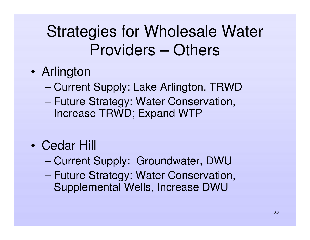- • Arlington
	- –– Current Supply: Lake Arlington, TRWD
	- – Future Strategy: Water Conservation, Increase TRWD; Expand WTP
- Cedar Hill
	- –Current Supply: Groundwater, DWU
	- – Future Strategy: Water Conservation, Supplemental Wells, Increase DWU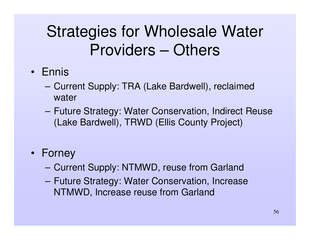#### • Ennis

- **Harry Committee**  Current Supply: TRA (Lake Bardwell), reclaimed water
- **Hart Committee Committee**  Future Strategy: Water Conservation, Indirect Reuse (Lake Bardwell), TRWD (Ellis County Project)

#### • Forney

- **However, Marketing Committee** Current Supply: NTMWD, reuse from Garland
- **Harry Committee**  Future Strategy: Water Conservation, Increase NTMWD, Increase reuse from Garland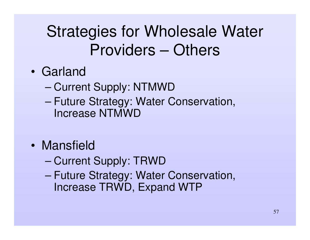- Garland
	- –– Current Supply: NTMWD
	- – Future Strategy: Water Conservation, Increase NTMWD
- Mansfield
	- –– Current Supply: TRWD
	- – Future Strategy: Water Conservation, Increase TRWD, Expand WTP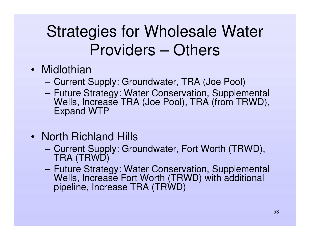- Midlothian
	- **Harry Committee** Current Supply: Groundwater, TRA (Joe Pool)
	- **Hart Committee Committee**  Future Strategy: Water Conservation, Supplemental Wells, Increase TRA (Joe Pool), TRA (from TRWD), Expand WTP
- North Richland Hills
	- – Current Supply: Groundwater, Fort Worth (TRWD), TRA (TRWD)
	- – Future Strategy: Water Conservation, Supplemental Wells, Increase Fort Worth (TRWD) with additional pipeline, Increase TRA (TRWD)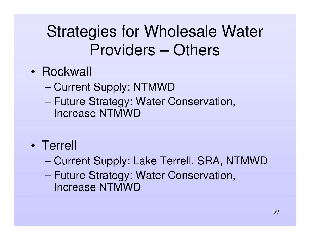- Rockwall
	- –– Current Supply: NTMWD
	- – Future Strategy: Water Conservation, Increase NTMWD
- Terrell
	- –Current Supply: Lake Terrell, SRA, NTMWD
	- – Future Strategy: Water Conservation, Increase NTMWD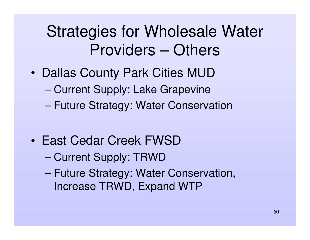- • Dallas County Park Cities MUD
	- –Current Supply: Lake Grapevine
	- –Future Strategy: Water Conservation
- East Cedar Creek FWSD
	- –– Current Supply: TRWD
	- – Future Strategy: Water Conservation, Increase TRWD, Expand WTP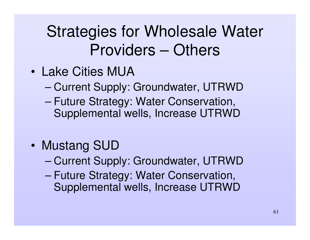- Lake Cities MUA
	- –Current Supply: Groundwater, UTRWD
	- – Future Strategy: Water Conservation, Supplemental wells, Increase UTRWD
- • Mustang SUD
	- –Current Supply: Groundwater, UTRWD
	- – Future Strategy: Water Conservation, Supplemental wells, Increase UTRWD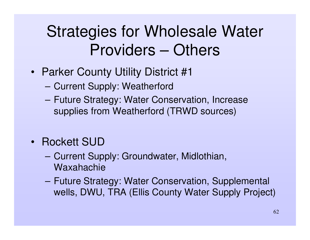- Parker County Utility District #1
	- **Harry Committee** Current Supply: Weatherford
	- **Harry Committee**  Future Strategy: Water Conservation, Increase supplies from Weatherford (TRWD sources)
- Rockett SUD
	- **Harry Committee**  Current Supply: Groundwater, Midlothian, Waxahachie
	- **Harry Committee**  Future Strategy: Water Conservation, Supplemental wells, DWU, TRA (Ellis County Water Supply Project)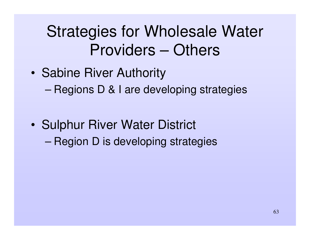- •• Sabine River Authority –– Regions D & I are developing strategies
- $\bullet$ • Sulphur River Water District –– Region D is developing strategies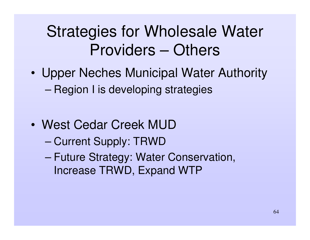- • Upper Neches Municipal Water Authority –– Region I is developing strategies
- West Cedar Creek MUD
	- –– Current Supply: TRWD
	- – Future Strategy: Water Conservation, Increase TRWD, Expand WTP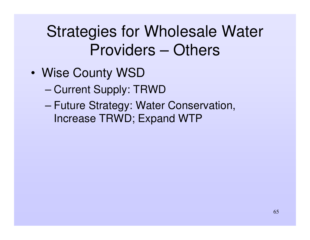- • Wise County WSD
	- –– Current Supply: TRWD
	- – Future Strategy: Water Conservation, Increase TRWD; Expand WTP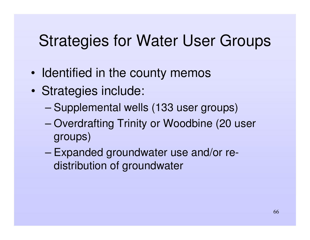#### Strategies for Water User Groups

- •• Identified in the county memos
- • Strategies include:
	- –Supplemental wells (133 user groups)
	- – Overdrafting Trinity or Woodbine (20 user groups)
	- – Expanded groundwater use and/or redistribution of groundwater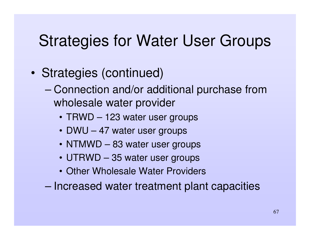#### Strategies for Water User Groups

- • Strategies (continued)
	- – Connection and/or additional purchase from wholesale water provider
		- TRWD 123 water user groups
		- DWU 47 water user groups
		- NTMWD 83 water user groups
		- UTRWD 35 water user groups
		- Other Wholesale Water Providers
	- –– Increased water treatment plant capacities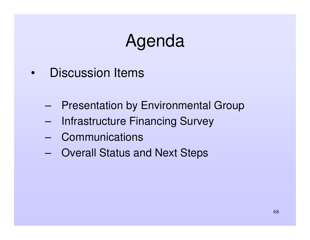# Agenda

- • Discussion Items
	- –Presentation by Environmental Group
	- –Infrastructure Financing Survey
	- –**Communications**
	- –Overall Status and Next Steps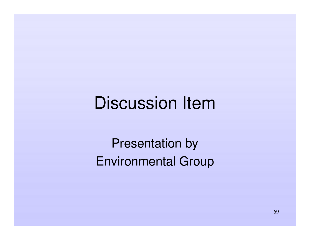## Discussion Item

Presentation by Environmental Group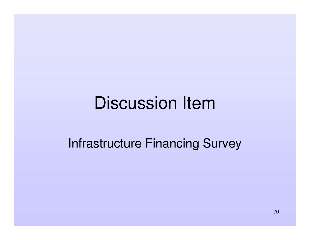## Discussion Item

#### Infrastructure Financing Survey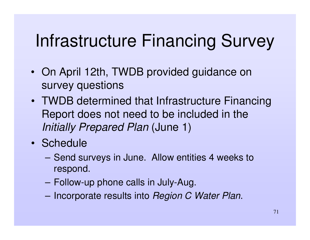# Infrastructure Financing Survey

- On April 12th, TWDB provided guidance on survey questions
- TWDB determined that Infrastructure Financing Report does not need to be included in the *Initially Prepared Plan* (June 1)
- Schedule
	- – Send surveys in June. Allow entities 4 weeks to respond.
	- –Follow-up phone calls in July-Aug.
	- **Harry Committee** Incorporate results into *Region C Water Plan*.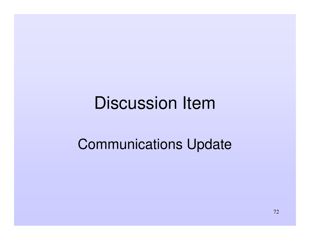## Discussion Item

#### Communications Update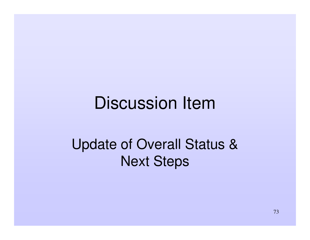#### Discussion Item

#### Update of Overall Status & Next Steps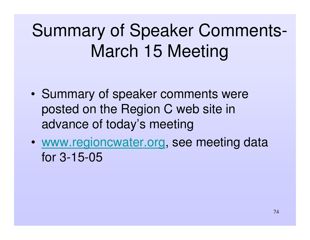## Summary of Speaker Comments-March 15 Meeting

- •• Summary of speaker comments were posted on the Region C web site in advance of today's meeting
- • www.regioncwater.org, see meeting data for 3-15-05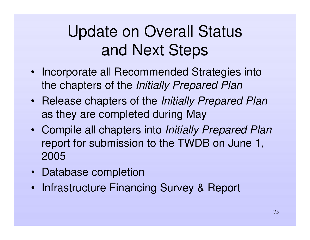### Update on Overall Status and Next Steps

- Incorporate all Recommended Strategies into the chapters of the *Initially Prepared Plan*
- Release chapters of the *Initially Prepared Plan* as they are completed during May
- Compile all chapters into *Initially Prepared Plan* report for submission to the TWDB on June 1, 2005
- Database completion
- Infrastructure Financing Survey & Report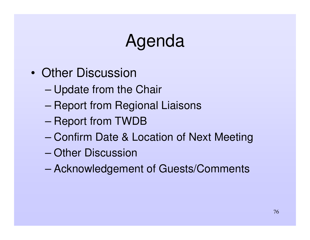## Agenda

- Other Discussion
	- –Update from the Chair
	- –– Report from Regional Liaisons
	- –– Report from TWDB
	- Confirm Date & Location of Next Meeting
	- Other Discussion
	- –Acknowledgement of Guests/Comments